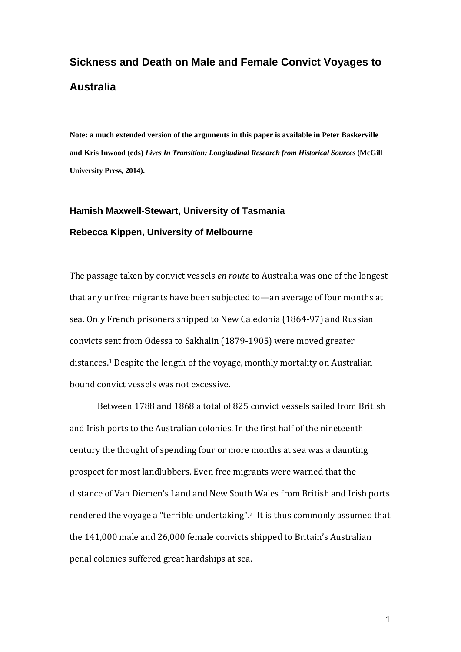# **Sickness and Death on Male and Female Convict Voyages to Australia**

**Note: a much extended version of the arguments in this paper is available in Peter Baskerville and Kris Inwood (eds)** *Lives In Transition: Longitudinal Research from Historical Sources* **(McGill University Press, 2014).** 

## **Hamish Maxwell-Stewart, University of Tasmania Rebecca Kippen, University of Melbourne**

The passage taken by convict vessels *en route* to Australia was one of the longest that any unfree migrants have been subjected to—an average of four months at sea. Only French prisoners shipped to New Caledonia (1864-97) and Russian convicts sent from Odessa to Sakhalin (1879-1905) were moved greater distances.<sup>1</sup> Despite the length of the voyage, monthly mortality on Australian bound convict vessels was not excessive.

Between 1788 and 1868 a total of 825 convict vessels sailed from British and Irish ports to the Australian colonies. In the first half of the nineteenth century the thought of spending four or more months at sea was a daunting prospect for most landlubbers. Even free migrants were warned that the distance of Van Diemen's Land and New South Wales from British and Irish ports rendered the voyage a "terrible undertaking".<sup>2</sup> It is thus commonly assumed that the 141,000 male and 26,000 female convicts shipped to Britain's Australian penal colonies suffered great hardships at sea.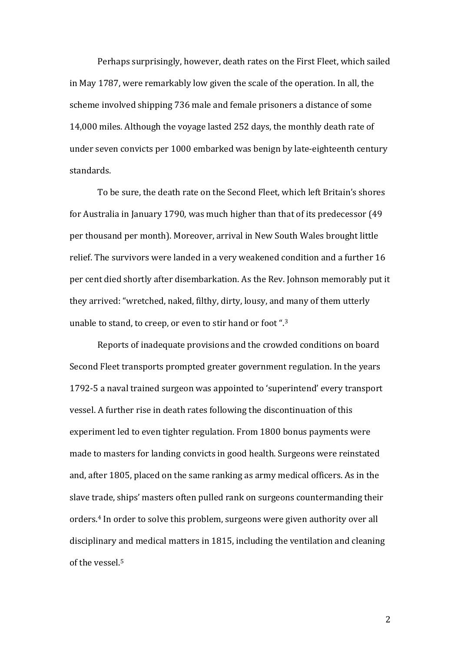Perhaps surprisingly, however, death rates on the First Fleet, which sailed in May 1787, were remarkably low given the scale of the operation. In all, the scheme involved shipping 736 male and female prisoners a distance of some 14,000 miles. Although the voyage lasted 252 days, the monthly death rate of under seven convicts per 1000 embarked was benign by late-eighteenth century standards. 

To be sure, the death rate on the Second Fleet, which left Britain's shores for Australia in January 1790, was much higher than that of its predecessor  $(49)$ per thousand per month). Moreover, arrival in New South Wales brought little relief. The survivors were landed in a very weakened condition and a further 16 per cent died shortly after disembarkation. As the Rev. Johnson memorably put it they arrived: "wretched, naked, filthy, dirty, lousy, and many of them utterly unable to stand, to creep, or even to stir hand or foot ".<sup>3</sup>

Reports of inadequate provisions and the crowded conditions on board Second Fleet transports prompted greater government regulation. In the years 1792-5 a naval trained surgeon was appointed to 'superintend' every transport vessel. A further rise in death rates following the discontinuation of this experiment led to even tighter regulation. From 1800 bonus payments were made to masters for landing convicts in good health. Surgeons were reinstated and, after 1805, placed on the same ranking as army medical officers. As in the slave trade, ships' masters often pulled rank on surgeons countermanding their orders.<sup>4</sup> In order to solve this problem, surgeons were given authority over all disciplinary and medical matters in 1815, including the ventilation and cleaning of the vessel. $5$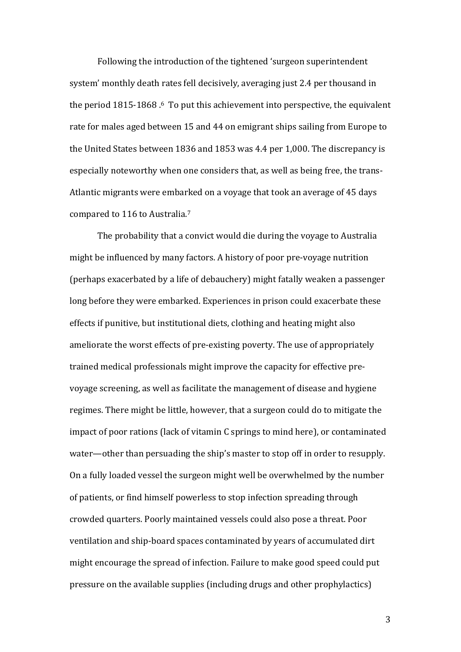Following the introduction of the tightened 'surgeon superintendent system' monthly death rates fell decisively, averaging just 2.4 per thousand in the period  $1815-1868.6$  To put this achievement into perspective, the equivalent rate for males aged between 15 and 44 on emigrant ships sailing from Europe to the United States between 1836 and 1853 was 4.4 per 1,000. The discrepancy is especially noteworthy when one considers that, as well as being free, the trans-Atlantic migrants were embarked on a voyage that took an average of 45 days compared to 116 to Australia.<sup>7</sup>

The probability that a convict would die during the voyage to Australia might be influenced by many factors. A history of poor pre-voyage nutrition (perhaps exacerbated by a life of debauchery) might fatally weaken a passenger long before they were embarked. Experiences in prison could exacerbate these effects if punitive, but institutional diets, clothing and heating might also ameliorate the worst effects of pre-existing poverty. The use of appropriately trained medical professionals might improve the capacity for effective prevoyage screening, as well as facilitate the management of disease and hygiene regimes. There might be little, however, that a surgeon could do to mitigate the impact of poor rations (lack of vitamin C springs to mind here), or contaminated water—other than persuading the ship's master to stop off in order to resupply. On a fully loaded vessel the surgeon might well be overwhelmed by the number of patients, or find himself powerless to stop infection spreading through crowded quarters. Poorly maintained vessels could also pose a threat. Poor ventilation and ship-board spaces contaminated by years of accumulated dirt might encourage the spread of infection. Failure to make good speed could put pressure on the available supplies (including drugs and other prophylactics)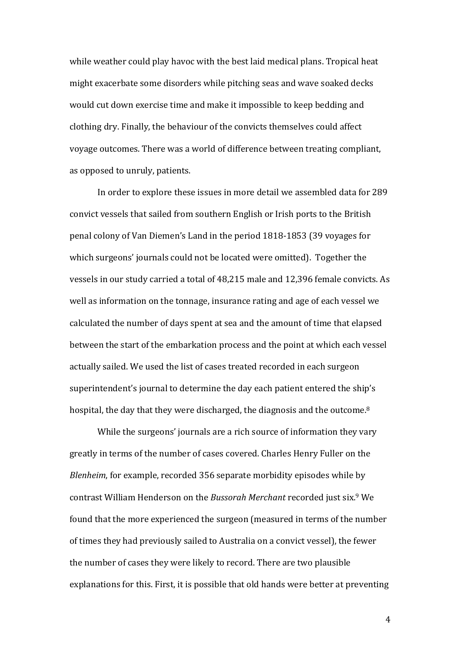while weather could play havoc with the best laid medical plans. Tropical heat might exacerbate some disorders while pitching seas and wave soaked decks would cut down exercise time and make it impossible to keep bedding and clothing dry. Finally, the behaviour of the convicts themselves could affect voyage outcomes. There was a world of difference between treating compliant, as opposed to unruly, patients.

In order to explore these issues in more detail we assembled data for 289 convict vessels that sailed from southern English or Irish ports to the British penal colony of Van Diemen's Land in the period 1818-1853 (39 voyages for which surgeons' journals could not be located were omitted). Together the vessels in our study carried a total of 48,215 male and 12,396 female convicts. As well as information on the tonnage, insurance rating and age of each vessel we calculated the number of days spent at sea and the amount of time that elapsed between the start of the embarkation process and the point at which each vessel actually sailed. We used the list of cases treated recorded in each surgeon superintendent's journal to determine the day each patient entered the ship's hospital, the day that they were discharged, the diagnosis and the outcome.<sup>8</sup>

While the surgeons' journals are a rich source of information they vary greatly in terms of the number of cases covered. Charles Henry Fuller on the *Blenheim*, for example, recorded 356 separate morbidity episodes while by contrast William Henderson on the *Bussorah Merchant* recorded just six.<sup>9</sup> We found that the more experienced the surgeon (measured in terms of the number of times they had previously sailed to Australia on a convict vessel), the fewer the number of cases they were likely to record. There are two plausible explanations for this. First, it is possible that old hands were better at preventing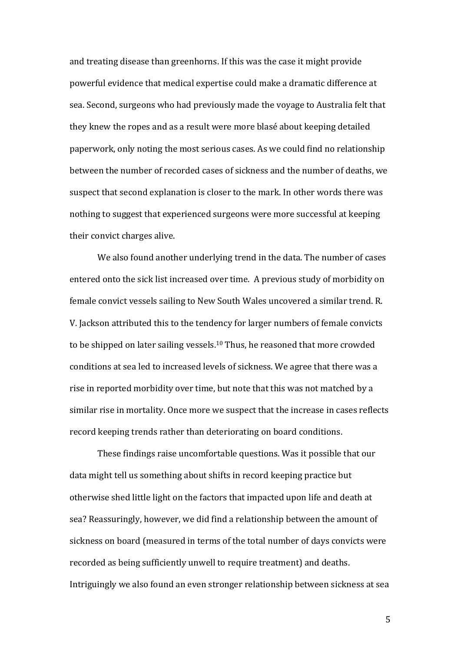and treating disease than greenhorns. If this was the case it might provide powerful evidence that medical expertise could make a dramatic difference at sea. Second, surgeons who had previously made the voyage to Australia felt that they knew the ropes and as a result were more blasé about keeping detailed paperwork, only noting the most serious cases. As we could find no relationship between the number of recorded cases of sickness and the number of deaths, we suspect that second explanation is closer to the mark. In other words there was nothing to suggest that experienced surgeons were more successful at keeping their convict charges alive.

We also found another underlying trend in the data. The number of cases entered onto the sick list increased over time. A previous study of morbidity on female convict vessels sailing to New South Wales uncovered a similar trend. R. V. Jackson attributed this to the tendency for larger numbers of female convicts to be shipped on later sailing vessels.<sup>10</sup> Thus, he reasoned that more crowded conditions at sea led to increased levels of sickness. We agree that there was a rise in reported morbidity over time, but note that this was not matched by a similar rise in mortality. Once more we suspect that the increase in cases reflects record keeping trends rather than deteriorating on board conditions.

These findings raise uncomfortable questions. Was it possible that our data might tell us something about shifts in record keeping practice but otherwise shed little light on the factors that impacted upon life and death at sea? Reassuringly, however, we did find a relationship between the amount of sickness on board (measured in terms of the total number of days convicts were recorded as being sufficiently unwell to require treatment) and deaths. Intriguingly we also found an even stronger relationship between sickness at sea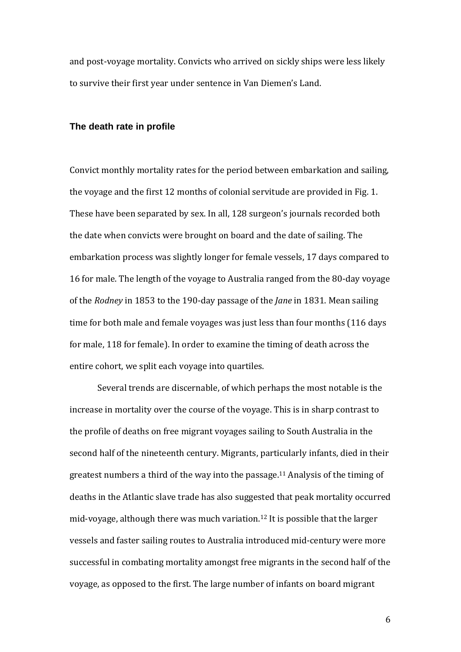and post-voyage mortality. Convicts who arrived on sickly ships were less likely to survive their first year under sentence in Van Diemen's Land.

#### **The death rate in profile**

Convict monthly mortality rates for the period between embarkation and sailing, the voyage and the first 12 months of colonial servitude are provided in Fig. 1. These have been separated by sex. In all, 128 surgeon's journals recorded both the date when convicts were brought on board and the date of sailing. The embarkation process was slightly longer for female vessels, 17 days compared to 16 for male. The length of the voyage to Australia ranged from the 80-day voyage of the *Rodney* in 1853 to the 190-day passage of the *Jane* in 1831. Mean sailing time for both male and female voyages was just less than four months (116 days for male, 118 for female). In order to examine the timing of death across the entire cohort, we split each voyage into quartiles.

Several trends are discernable, of which perhaps the most notable is the increase in mortality over the course of the voyage. This is in sharp contrast to the profile of deaths on free migrant voyages sailing to South Australia in the second half of the nineteenth century. Migrants, particularly infants, died in their greatest numbers a third of the way into the passage.<sup>11</sup> Analysis of the timing of deaths in the Atlantic slave trade has also suggested that peak mortality occurred mid-voyage, although there was much variation.<sup>12</sup> It is possible that the larger vessels and faster sailing routes to Australia introduced mid-century were more successful in combating mortality amongst free migrants in the second half of the voyage, as opposed to the first. The large number of infants on board migrant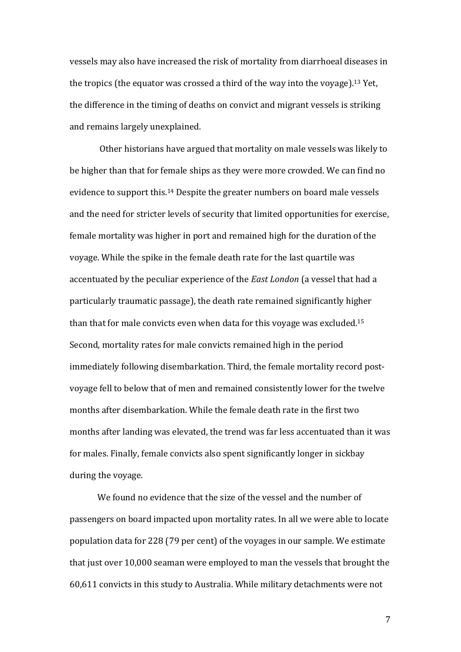vessels may also have increased the risk of mortality from diarrhoeal diseases in the tropics (the equator was crossed a third of the way into the voyage).<sup>13</sup> Yet, the difference in the timing of deaths on convict and migrant vessels is striking and remains largely unexplained.

Other historians have argued that mortality on male vessels was likely to be higher than that for female ships as they were more crowded. We can find no evidence to support this.<sup>14</sup> Despite the greater numbers on board male vessels and the need for stricter levels of security that limited opportunities for exercise, female mortality was higher in port and remained high for the duration of the voyage. While the spike in the female death rate for the last quartile was accentuated by the peculiar experience of the *East London* (a vessel that had a particularly traumatic passage), the death rate remained significantly higher than that for male convicts even when data for this voyage was excluded.<sup>15</sup> Second, mortality rates for male convicts remained high in the period immediately following disembarkation. Third, the female mortality record postvoyage fell to below that of men and remained consistently lower for the twelve months after disembarkation. While the female death rate in the first two months after landing was elevated, the trend was far less accentuated than it was for males. Finally, female convicts also spent significantly longer in sickbay during the voyage.

We found no evidence that the size of the vessel and the number of passengers on board impacted upon mortality rates. In all we were able to locate population data for 228 (79 per cent) of the voyages in our sample. We estimate that just over 10,000 seaman were employed to man the vessels that brought the 60,611 convicts in this study to Australia. While military detachments were not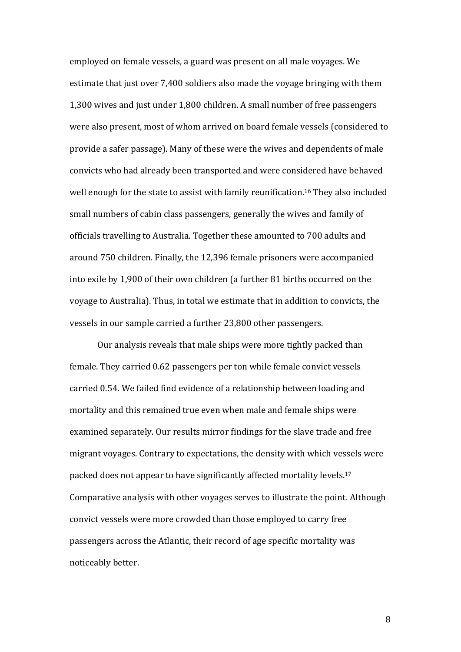employed on female vessels, a guard was present on all male voyages. We estimate that just over 7,400 soldiers also made the voyage bringing with them 1,300 wives and just under 1,800 children. A small number of free passengers were also present, most of whom arrived on board female vessels (considered to provide a safer passage). Many of these were the wives and dependents of male convicts who had already been transported and were considered have behaved well enough for the state to assist with family reunification.<sup>16</sup> They also included small numbers of cabin class passengers, generally the wives and family of officials travelling to Australia. Together these amounted to 700 adults and around 750 children. Finally, the 12,396 female prisoners were accompanied into exile by 1,900 of their own children (a further 81 births occurred on the voyage to Australia). Thus, in total we estimate that in addition to convicts, the vessels in our sample carried a further 23,800 other passengers.

Our analysis reveals that male ships were more tightly packed than female. They carried 0.62 passengers per ton while female convict vessels carried 0.54. We failed find evidence of a relationship between loading and mortality and this remained true even when male and female ships were examined separately. Our results mirror findings for the slave trade and free migrant voyages. Contrary to expectations, the density with which vessels were packed does not appear to have significantly affected mortality levels.<sup>17</sup> Comparative analysis with other voyages serves to illustrate the point. Although convict vessels were more crowded than those employed to carry free passengers across the Atlantic, their record of age specific mortality was noticeably better.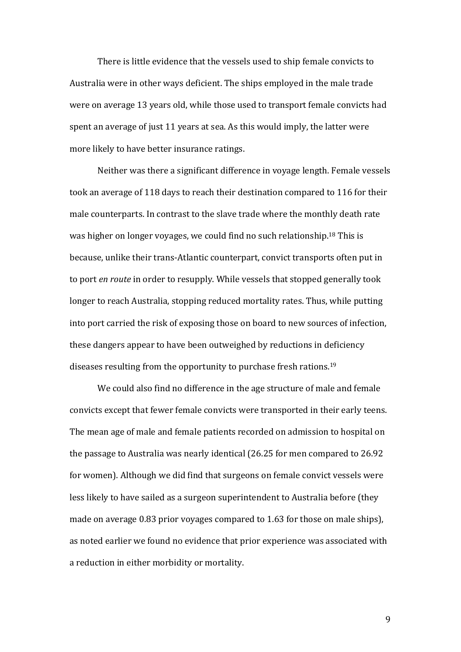There is little evidence that the vessels used to ship female convicts to Australia were in other ways deficient. The ships employed in the male trade were on average 13 years old, while those used to transport female convicts had spent an average of just 11 years at sea. As this would imply, the latter were more likely to have better insurance ratings.

Neither was there a significant difference in voyage length. Female vessels took an average of 118 days to reach their destination compared to 116 for their male counterparts. In contrast to the slave trade where the monthly death rate was higher on longer voyages, we could find no such relationship.<sup>18</sup> This is because, unlike their trans-Atlantic counterpart, convict transports often put in to port *en route* in order to resupply. While vessels that stopped generally took longer to reach Australia, stopping reduced mortality rates. Thus, while putting into port carried the risk of exposing those on board to new sources of infection, these dangers appear to have been outweighed by reductions in deficiency diseases resulting from the opportunity to purchase fresh rations.<sup>19</sup>

We could also find no difference in the age structure of male and female convicts except that fewer female convicts were transported in their early teens. The mean age of male and female patients recorded on admission to hospital on the passage to Australia was nearly identical  $(26.25$  for men compared to  $26.92$ for women). Although we did find that surgeons on female convict vessels were less likely to have sailed as a surgeon superintendent to Australia before (they made on average 0.83 prior voyages compared to 1.63 for those on male ships), as noted earlier we found no evidence that prior experience was associated with a reduction in either morbidity or mortality.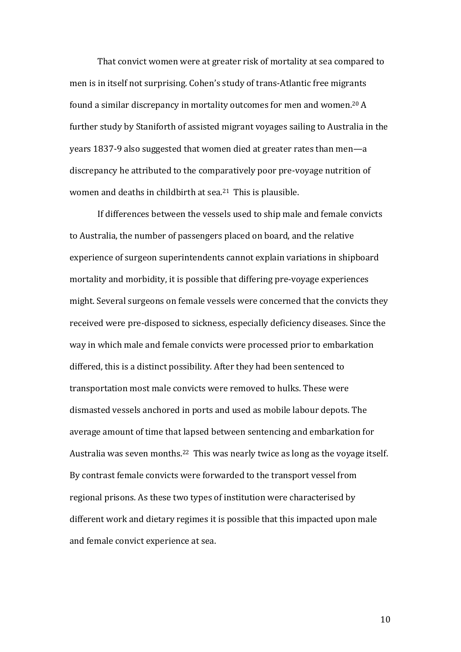That convict women were at greater risk of mortality at sea compared to men is in itself not surprising. Cohen's study of trans-Atlantic free migrants found a similar discrepancy in mortality outcomes for men and women.<sup>20</sup> A further study by Staniforth of assisted migrant voyages sailing to Australia in the years 1837-9 also suggested that women died at greater rates than men—a discrepancy he attributed to the comparatively poor pre-voyage nutrition of women and deaths in childbirth at sea.<sup>21</sup> This is plausible.

If differences between the vessels used to ship male and female convicts to Australia, the number of passengers placed on board, and the relative experience of surgeon superintendents cannot explain variations in shipboard mortality and morbidity, it is possible that differing pre-voyage experiences might. Several surgeons on female vessels were concerned that the convicts they received were pre-disposed to sickness, especially deficiency diseases. Since the way in which male and female convicts were processed prior to embarkation differed, this is a distinct possibility. After they had been sentenced to transportation most male convicts were removed to hulks. These were dismasted vessels anchored in ports and used as mobile labour depots. The average amount of time that lapsed between sentencing and embarkation for Australia was seven months.<sup>22</sup> This was nearly twice as long as the voyage itself. By contrast female convicts were forwarded to the transport vessel from regional prisons. As these two types of institution were characterised by different work and dietary regimes it is possible that this impacted upon male and female convict experience at sea.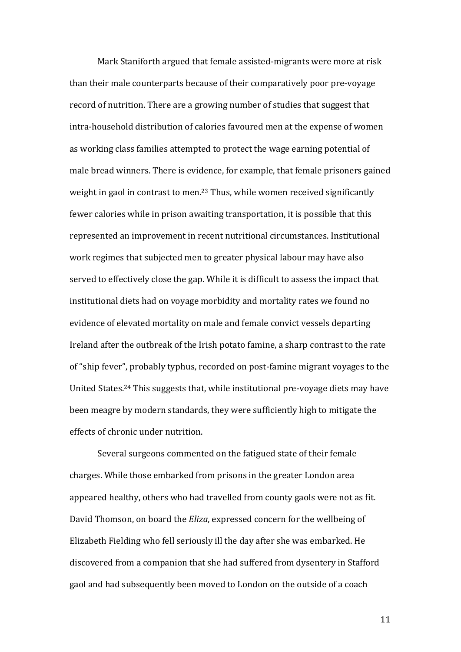Mark Staniforth argued that female assisted-migrants were more at risk than their male counterparts because of their comparatively poor pre-voyage record of nutrition. There are a growing number of studies that suggest that intra-household distribution of calories favoured men at the expense of women as working class families attempted to protect the wage earning potential of male bread winners. There is evidence, for example, that female prisoners gained weight in gaol in contrast to men.<sup>23</sup> Thus, while women received significantly fewer calories while in prison awaiting transportation, it is possible that this represented an improvement in recent nutritional circumstances. Institutional work regimes that subjected men to greater physical labour may have also served to effectively close the gap. While it is difficult to assess the impact that institutional diets had on voyage morbidity and mortality rates we found no evidence of elevated mortality on male and female convict vessels departing Ireland after the outbreak of the Irish potato famine, a sharp contrast to the rate of "ship fever", probably typhus, recorded on post-famine migrant voyages to the United States.<sup>24</sup> This suggests that, while institutional pre-voyage diets may have been meagre by modern standards, they were sufficiently high to mitigate the effects of chronic under nutrition.

Several surgeons commented on the fatigued state of their female charges. While those embarked from prisons in the greater London area appeared healthy, others who had travelled from county gaols were not as fit. David Thomson, on board the *Eliza*, expressed concern for the wellbeing of Elizabeth Fielding who fell seriously ill the day after she was embarked. He discovered from a companion that she had suffered from dysentery in Stafford gaol and had subsequently been moved to London on the outside of a coach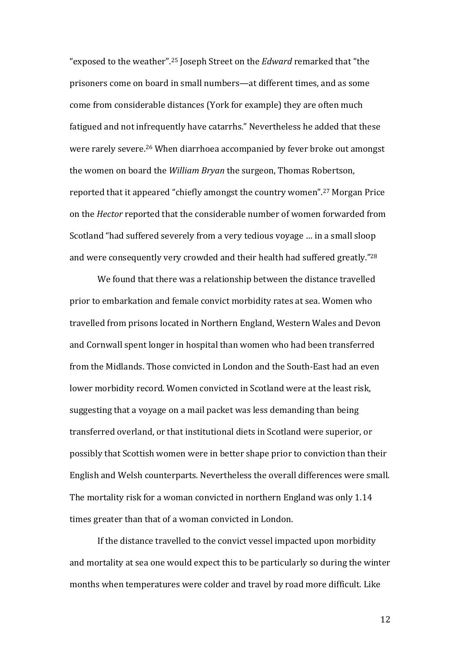"exposed to the weather".<sup>25</sup> Joseph Street on the *Edward* remarked that "the prisoners come on board in small numbers—at different times, and as some come from considerable distances (York for example) they are often much fatigued and not infrequently have catarrhs." Nevertheless he added that these were rarely severe.<sup>26</sup> When diarrhoea accompanied by fever broke out amongst the women on board the *William Bryan* the surgeon, Thomas Robertson, reported that it appeared "chiefly amongst the country women".<sup>27</sup> Morgan Price on the *Hector* reported that the considerable number of women forwarded from Scotland "had suffered severely from a very tedious voyage ... in a small sloop and were consequently very crowded and their health had suffered greatly."<sup>28</sup>

We found that there was a relationship between the distance travelled prior to embarkation and female convict morbidity rates at sea. Women who travelled from prisons located in Northern England, Western Wales and Devon and Cornwall spent longer in hospital than women who had been transferred from the Midlands. Those convicted in London and the South-East had an even lower morbidity record. Women convicted in Scotland were at the least risk, suggesting that a voyage on a mail packet was less demanding than being transferred overland, or that institutional diets in Scotland were superior, or possibly that Scottish women were in better shape prior to conviction than their English and Welsh counterparts. Nevertheless the overall differences were small. The mortality risk for a woman convicted in northern England was only  $1.14$ times greater than that of a woman convicted in London.

If the distance travelled to the convict vessel impacted upon morbidity and mortality at sea one would expect this to be particularly so during the winter months when temperatures were colder and travel by road more difficult. Like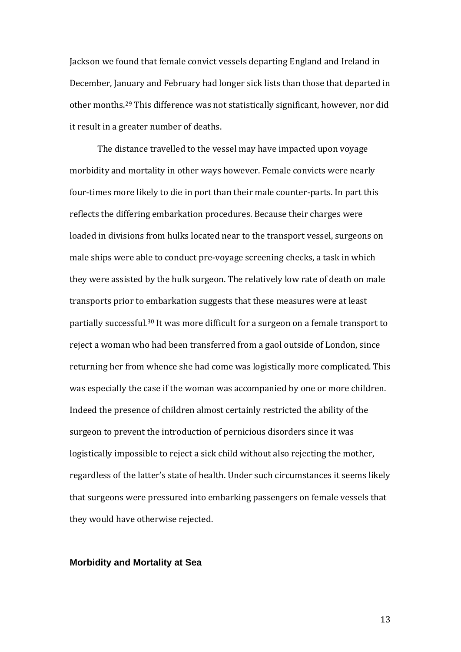Jackson we found that female convict vessels departing England and Ireland in December, January and February had longer sick lists than those that departed in other months.<sup>29</sup> This difference was not statistically significant, however, nor did it result in a greater number of deaths.

The distance travelled to the vessel may have impacted upon voyage morbidity and mortality in other ways however. Female convicts were nearly four-times more likely to die in port than their male counter-parts. In part this reflects the differing embarkation procedures. Because their charges were loaded in divisions from hulks located near to the transport vessel, surgeons on male ships were able to conduct pre-voyage screening checks, a task in which they were assisted by the hulk surgeon. The relatively low rate of death on male transports prior to embarkation suggests that these measures were at least partially successful.<sup>30</sup> It was more difficult for a surgeon on a female transport to reject a woman who had been transferred from a gaol outside of London, since returning her from whence she had come was logistically more complicated. This was especially the case if the woman was accompanied by one or more children. Indeed the presence of children almost certainly restricted the ability of the surgeon to prevent the introduction of pernicious disorders since it was logistically impossible to reject a sick child without also rejecting the mother, regardless of the latter's state of health. Under such circumstances it seems likely that surgeons were pressured into embarking passengers on female vessels that they would have otherwise rejected.

#### **Morbidity and Mortality at Sea**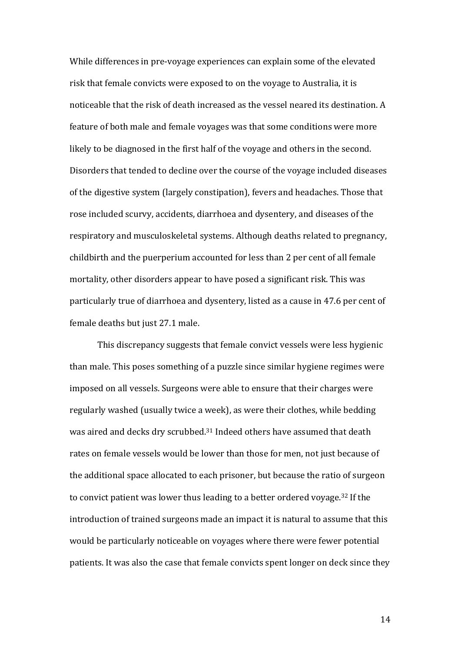While differences in pre-voyage experiences can explain some of the elevated risk that female convicts were exposed to on the voyage to Australia, it is noticeable that the risk of death increased as the vessel neared its destination. A feature of both male and female voyages was that some conditions were more likely to be diagnosed in the first half of the voyage and others in the second. Disorders that tended to decline over the course of the voyage included diseases of the digestive system (largely constipation), fevers and headaches. Those that rose included scurvy, accidents, diarrhoea and dysentery, and diseases of the respiratory and musculoskeletal systems. Although deaths related to pregnancy, childbirth and the puerperium accounted for less than 2 per cent of all female mortality, other disorders appear to have posed a significant risk. This was particularly true of diarrhoea and dysentery, listed as a cause in 47.6 per cent of female deaths but just 27.1 male.

This discrepancy suggests that female convict vessels were less hygienic than male. This poses something of a puzzle since similar hygiene regimes were imposed on all vessels. Surgeons were able to ensure that their charges were regularly washed (usually twice a week), as were their clothes, while bedding was aired and decks dry scrubbed.<sup>31</sup> Indeed others have assumed that death rates on female vessels would be lower than those for men, not just because of the additional space allocated to each prisoner, but because the ratio of surgeon to convict patient was lower thus leading to a better ordered voyage.<sup>32</sup> If the introduction of trained surgeons made an impact it is natural to assume that this would be particularly noticeable on voyages where there were fewer potential patients. It was also the case that female convicts spent longer on deck since they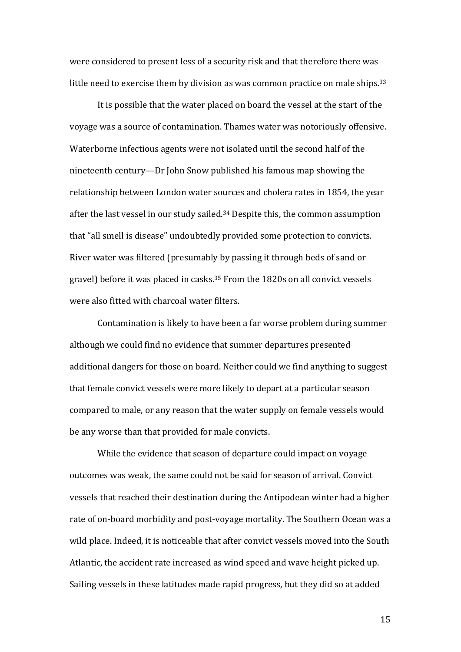were considered to present less of a security risk and that therefore there was little need to exercise them by division as was common practice on male ships.<sup>33</sup>

It is possible that the water placed on board the vessel at the start of the voyage was a source of contamination. Thames water was notoriously offensive. Waterborne infectious agents were not isolated until the second half of the nineteenth century—Dr John Snow published his famous map showing the relationship between London water sources and cholera rates in 1854, the year after the last vessel in our study sailed.<sup>34</sup> Despite this, the common assumption that "all smell is disease" undoubtedly provided some protection to convicts. River water was filtered (presumably by passing it through beds of sand or gravel) before it was placed in casks.<sup>35</sup> From the  $1820s$  on all convict vessels were also fitted with charcoal water filters.

Contamination is likely to have been a far worse problem during summer although we could find no evidence that summer departures presented additional dangers for those on board. Neither could we find anything to suggest that female convict vessels were more likely to depart at a particular season compared to male, or any reason that the water supply on female vessels would be any worse than that provided for male convicts.

While the evidence that season of departure could impact on voyage outcomes was weak, the same could not be said for season of arrival. Convict vessels that reached their destination during the Antipodean winter had a higher rate of on-board morbidity and post-voyage mortality. The Southern Ocean was a wild place. Indeed, it is noticeable that after convict vessels moved into the South Atlantic, the accident rate increased as wind speed and wave height picked up. Sailing vessels in these latitudes made rapid progress, but they did so at added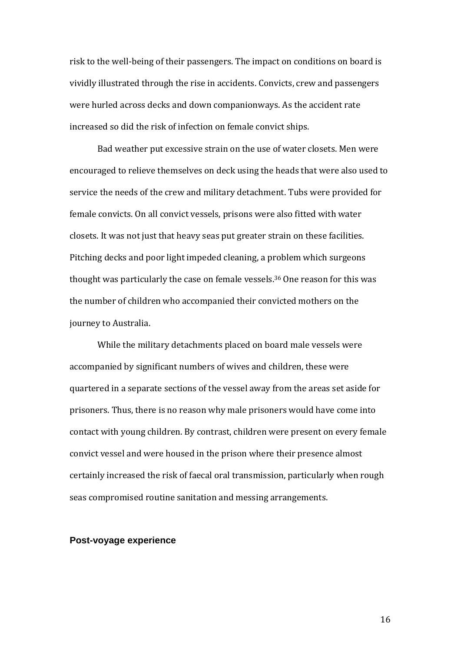risk to the well-being of their passengers. The impact on conditions on board is vividly illustrated through the rise in accidents. Convicts, crew and passengers were hurled across decks and down companionways. As the accident rate increased so did the risk of infection on female convict ships.

Bad weather put excessive strain on the use of water closets. Men were encouraged to relieve themselves on deck using the heads that were also used to service the needs of the crew and military detachment. Tubs were provided for female convicts. On all convict vessels, prisons were also fitted with water closets. It was not just that heavy seas put greater strain on these facilities. Pitching decks and poor light impeded cleaning, a problem which surgeons thought was particularly the case on female vessels.<sup>36</sup> One reason for this was the number of children who accompanied their convicted mothers on the journey to Australia.

While the military detachments placed on board male vessels were accompanied by significant numbers of wives and children, these were quartered in a separate sections of the vessel away from the areas set aside for prisoners. Thus, there is no reason why male prisoners would have come into contact with young children. By contrast, children were present on every female convict vessel and were housed in the prison where their presence almost certainly increased the risk of faecal oral transmission, particularly when rough seas compromised routine sanitation and messing arrangements.

#### **Post-voyage experience**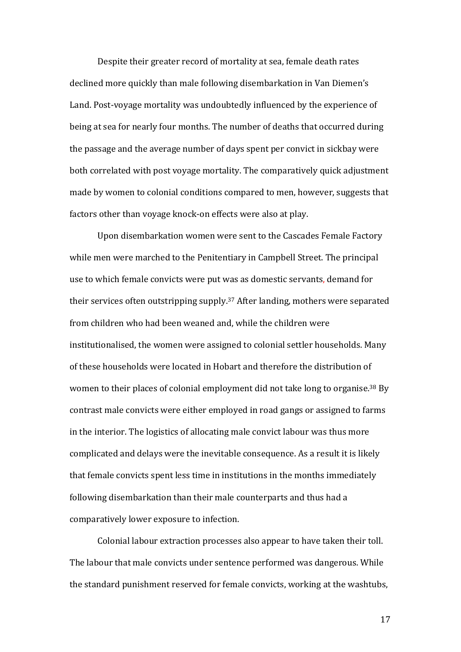Despite their greater record of mortality at sea, female death rates declined more quickly than male following disembarkation in Van Diemen's Land. Post-voyage mortality was undoubtedly influenced by the experience of being at sea for nearly four months. The number of deaths that occurred during the passage and the average number of days spent per convict in sickbay were both correlated with post voyage mortality. The comparatively quick adjustment made by women to colonial conditions compared to men, however, suggests that factors other than voyage knock-on effects were also at play.

Upon disembarkation women were sent to the Cascades Female Factory while men were marched to the Penitentiary in Campbell Street. The principal use to which female convicts were put was as domestic servants, demand for their services often outstripping supply.<sup>37</sup> After landing, mothers were separated from children who had been weaned and, while the children were institutionalised, the women were assigned to colonial settler households. Many of these households were located in Hobart and therefore the distribution of women to their places of colonial employment did not take long to organise.<sup>38</sup> By contrast male convicts were either employed in road gangs or assigned to farms in the interior. The logistics of allocating male convict labour was thus more complicated and delays were the inevitable consequence. As a result it is likely that female convicts spent less time in institutions in the months immediately following disembarkation than their male counterparts and thus had a comparatively lower exposure to infection.

Colonial labour extraction processes also appear to have taken their toll. The labour that male convicts under sentence performed was dangerous. While the standard punishment reserved for female convicts, working at the washtubs,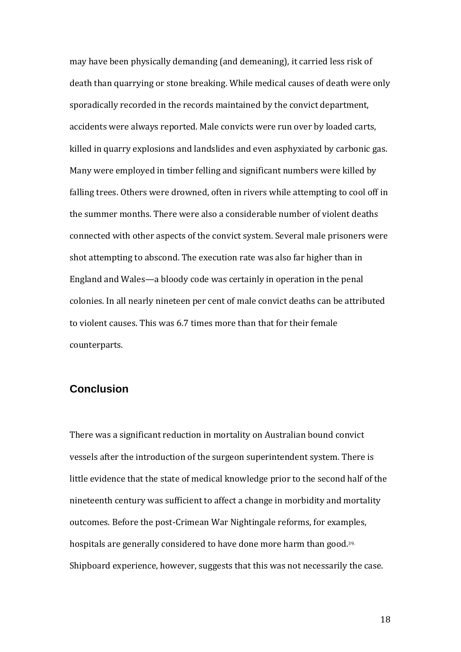may have been physically demanding (and demeaning), it carried less risk of death than quarrying or stone breaking. While medical causes of death were only sporadically recorded in the records maintained by the convict department, accidents were always reported. Male convicts were run over by loaded carts, killed in quarry explosions and landslides and even asphyxiated by carbonic gas. Many were employed in timber felling and significant numbers were killed by falling trees. Others were drowned, often in rivers while attempting to cool off in the summer months. There were also a considerable number of violent deaths connected with other aspects of the convict system. Several male prisoners were shot attempting to abscond. The execution rate was also far higher than in England and Wales—a bloody code was certainly in operation in the penal colonies. In all nearly nineteen per cent of male convict deaths can be attributed to violent causes. This was 6.7 times more than that for their female counterparts. 

### **Conclusion**

There was a significant reduction in mortality on Australian bound convict vessels after the introduction of the surgeon superintendent system. There is little evidence that the state of medical knowledge prior to the second half of the nineteenth century was sufficient to affect a change in morbidity and mortality outcomes. Before the post-Crimean War Nightingale reforms, for examples, hospitals are generally considered to have done more harm than good.<sup>39.</sup> Shipboard experience, however, suggests that this was not necessarily the case.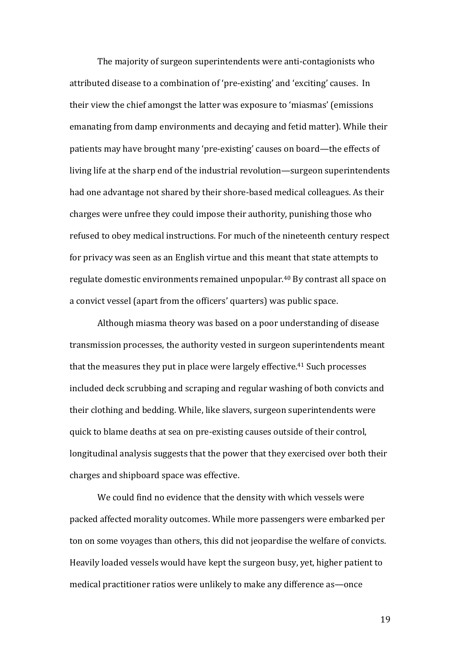The majority of surgeon superintendents were anti-contagionists who attributed disease to a combination of 'pre-existing' and 'exciting' causes. In their view the chief amongst the latter was exposure to 'miasmas' (emissions emanating from damp environments and decaying and fetid matter). While their patients may have brought many 'pre-existing' causes on board—the effects of living life at the sharp end of the industrial revolution—surgeon superintendents had one advantage not shared by their shore-based medical colleagues. As their charges were unfree they could impose their authority, punishing those who refused to obey medical instructions. For much of the nineteenth century respect for privacy was seen as an English virtue and this meant that state attempts to regulate domestic environments remained unpopular.<sup>40</sup> By contrast all space on a convict vessel (apart from the officers' quarters) was public space.

Although miasma theory was based on a poor understanding of disease transmission processes, the authority vested in surgeon superintendents meant that the measures they put in place were largely effective.<sup>41</sup> Such processes included deck scrubbing and scraping and regular washing of both convicts and their clothing and bedding. While, like slavers, surgeon superintendents were quick to blame deaths at sea on pre-existing causes outside of their control, longitudinal analysis suggests that the power that they exercised over both their charges and shipboard space was effective.

We could find no evidence that the density with which vessels were packed affected morality outcomes. While more passengers were embarked per ton on some voyages than others, this did not jeopardise the welfare of convicts. Heavily loaded vessels would have kept the surgeon busy, yet, higher patient to medical practitioner ratios were unlikely to make any difference as—once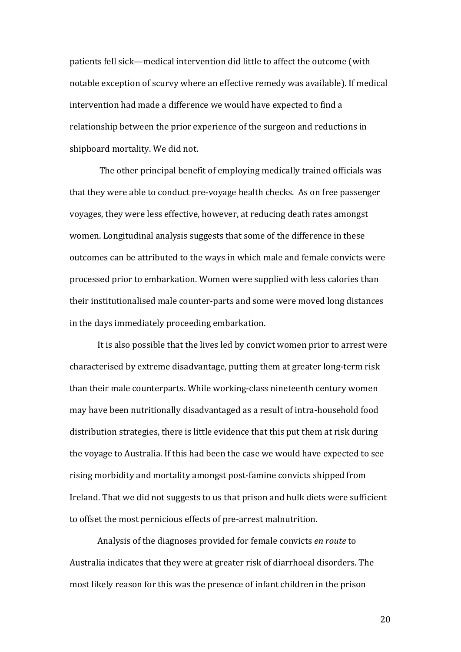patients fell sick—medical intervention did little to affect the outcome (with notable exception of scurvy where an effective remedy was available). If medical intervention had made a difference we would have expected to find a relationship between the prior experience of the surgeon and reductions in shipboard mortality. We did not.

The other principal benefit of employing medically trained officials was that they were able to conduct pre-voyage health checks. As on free passenger voyages, they were less effective, however, at reducing death rates amongst women. Longitudinal analysis suggests that some of the difference in these outcomes can be attributed to the ways in which male and female convicts were processed prior to embarkation. Women were supplied with less calories than their institutionalised male counter-parts and some were moved long distances in the days immediately proceeding embarkation.

It is also possible that the lives led by convict women prior to arrest were characterised by extreme disadvantage, putting them at greater long-term risk than their male counterparts. While working-class nineteenth century women may have been nutritionally disadvantaged as a result of intra-household food distribution strategies, there is little evidence that this put them at risk during the voyage to Australia. If this had been the case we would have expected to see rising morbidity and mortality amongst post-famine convicts shipped from Ireland. That we did not suggests to us that prison and hulk diets were sufficient to offset the most pernicious effects of pre-arrest malnutrition.

Analysis of the diagnoses provided for female convicts *en route* to Australia indicates that they were at greater risk of diarrhoeal disorders. The most likely reason for this was the presence of infant children in the prison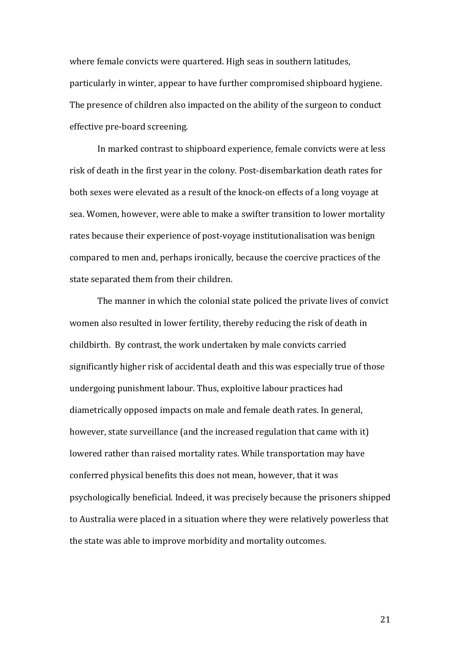where female convicts were quartered. High seas in southern latitudes, particularly in winter, appear to have further compromised shipboard hygiene. The presence of children also impacted on the ability of the surgeon to conduct effective pre-board screening.

In marked contrast to shipboard experience, female convicts were at less risk of death in the first year in the colony. Post-disembarkation death rates for both sexes were elevated as a result of the knock-on effects of a long voyage at sea. Women, however, were able to make a swifter transition to lower mortality rates because their experience of post-voyage institutionalisation was benign compared to men and, perhaps ironically, because the coercive practices of the state separated them from their children.

The manner in which the colonial state policed the private lives of convict women also resulted in lower fertility, thereby reducing the risk of death in childbirth. By contrast, the work undertaken by male convicts carried significantly higher risk of accidental death and this was especially true of those undergoing punishment labour. Thus, exploitive labour practices had diametrically opposed impacts on male and female death rates. In general, however, state surveillance (and the increased regulation that came with it) lowered rather than raised mortality rates. While transportation may have conferred physical benefits this does not mean, however, that it was psychologically beneficial. Indeed, it was precisely because the prisoners shipped to Australia were placed in a situation where they were relatively powerless that the state was able to improve morbidity and mortality outcomes.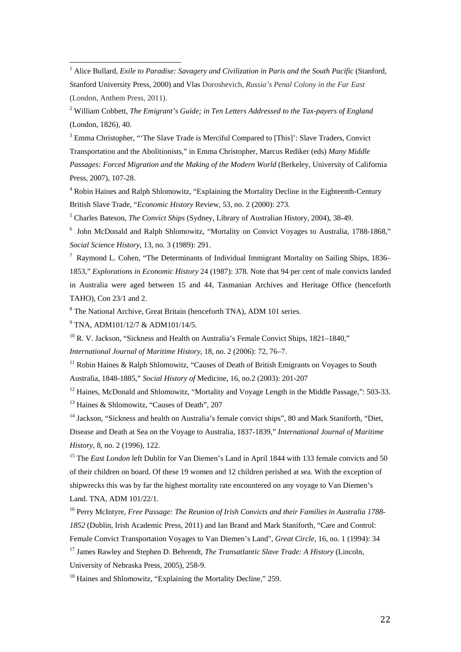<sup>1</sup> Alice Bullard, *Exile to Paradise: Savagery and Civilization in Paris and the South Pacific (Stanford,* Stanford University Press, 2000) and Vlas Doroshevich, *Russia's Penal Colony in the Far East*  (London, Anthem Press, 2011).

<sup>2</sup> William Cobbett, *The Emigrant's Guide; in Ten Letters Addressed to the Tax-payers of England* (London, 1826), 40.

<sup>3</sup> Emma Christopher, "The Slave Trade is Merciful Compared to [This]': Slave Traders, Convict Transportation and the Abolitionists," in Emma Christopher, Marcus Rediker (eds) *Many Middle Passages: Forced Migration and the Making of the Modern World* (Berkeley, University of California Press, 2007), 107-28.

<sup>4</sup> Robin Haines and Ralph Shlomowitz, "Explaining the Mortality Decline in the Eighteenth-Century British Slave Trade, "*Economic History* Review, 53, no. 2 (2000): 273.

5 Charles Bateson, *The Convict Ships* (Sydney, Library of Australian History, 2004), 38-49.

<sup>6</sup> John McDonald and Ralph Shlomowitz, "Mortality on Convict Voyages to Australia, 1788-1868," *Social Science History*, 13, no. 3 (1989): 291.

<sup>7</sup> Raymond L. Cohen, "The Determinants of Individual Immigrant Mortality on Sailing Ships, 1836– 1853," *Explorations in Economic History* 24 (1987): 378. Note that 94 per cent of male convicts landed in Australia were aged between 15 and 44, Tasmanian Archives and Heritage Office (henceforth TAHO), Con 23/1 and 2.

8 The National Archive, Great Britain (henceforth TNA), ADM 101 series.

<sup>9</sup> TNA, ADM101/12/7 & ADM101/14/5.

 

 $10$  R. V. Jackson, "Sickness and Health on Australia's Female Convict Ships, 1821–1840,"

*International Journal of Maritime History*, 18, no. 2 (2006): 72, 76–7.

<sup>11</sup> Robin Haines & Ralph Shlomowitz, "Causes of Death of British Emigrants on Voyages to South Australia, 1848-1885," *Social History of* Medicine, 16, no.2 (2003): 201-207

<sup>12</sup> Haines, McDonald and Shlomowitz, "Mortality and Voyage Length in the Middle Passage,": 503-33.

<sup>13</sup> Haines & Shlomowitz, "Causes of Death", 207

<sup>14</sup> Jackson, "Sickness and health on Australia's female convict ships", 80 and Mark Staniforth, "Diet, Disease and Death at Sea on the Voyage to Australia, 1837-1839," *International Journal of Maritime History*, 8, no. 2 (1996), 122.

<sup>15</sup> The *East London* left Dublin for Van Diemen's Land in April 1844 with 133 female convicts and 50 of their children on board. Of these 19 women and 12 children perished at sea. With the exception of shipwrecks this was by far the highest mortality rate encountered on any voyage to Van Diemen's Land. TNA, ADM 101/22/1.

16 Perry McIntyre, *Free Passage: The Reunion of Irish Convicts and their Families in Australia 1788- 1852* (Dublin, Irish Academic Press, 2011) and Ian Brand and Mark Staniforth, "Care and Control: Female Convict Transportation Voyages to Van Diemen's Land", *Great Circle*, 16, no. 1 (1994): 34

17 James Rawley and Stephen D. Behrendt, *The Transatlantic Slave Trade: A History* (Lincoln, University of Nebraska Press, 2005), 258-9.

<sup>18</sup> Haines and Shlomowitz, "Explaining the Mortality Decline," 259.